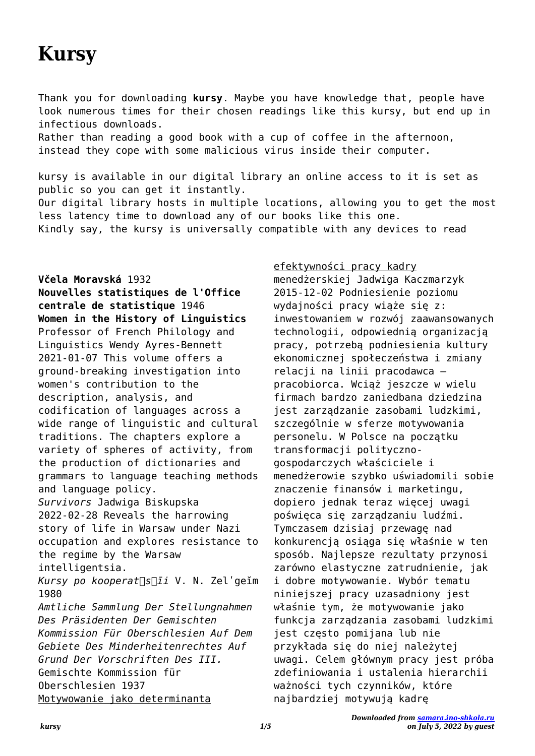# **Kursy**

Thank you for downloading **kursy**. Maybe you have knowledge that, people have look numerous times for their chosen readings like this kursy, but end up in infectious downloads.

Rather than reading a good book with a cup of coffee in the afternoon, instead they cope with some malicious virus inside their computer.

kursy is available in our digital library an online access to it is set as public so you can get it instantly. Our digital library hosts in multiple locations, allowing you to get the most less latency time to download any of our books like this one. Kindly say, the kursy is universally compatible with any devices to read

### **Včela Moravská** 1932

**Nouvelles statistiques de l'Office centrale de statistique** 1946 **Women in the History of Linguistics** Professor of French Philology and Linguistics Wendy Ayres-Bennett 2021-01-07 This volume offers a ground-breaking investigation into women's contribution to the description, analysis, and codification of languages across a wide range of linguistic and cultural traditions. The chapters explore a variety of spheres of activity, from the production of dictionaries and grammars to language teaching methods and language policy. *Survivors* Jadwiga Biskupska 2022-02-28 Reveals the harrowing story of life in Warsaw under Nazi occupation and explores resistance to the regime by the Warsaw intelligentsia. *Kursy po kooperat︠s︡īi* V. N. Zelʹgeĭm 1980 *Amtliche Sammlung Der Stellungnahmen Des Präsidenten Der Gemischten Kommission Für Oberschlesien Auf Dem Gebiete Des Minderheitenrechtes Auf Grund Der Vorschriften Des III.* Gemischte Kommission für Oberschlesien 1937 Motywowanie jako determinanta

efektywności pracy kadry menedżerskiej Jadwiga Kaczmarzyk 2015-12-02 Podniesienie poziomu wydajności pracy wiąże się z: inwestowaniem w rozwój zaawansowanych technologii, odpowiednią organizacją pracy, potrzebą podniesienia kultury ekonomicznej społeczeństwa i zmiany relacji na linii pracodawca – pracobiorca. Wciąż jeszcze w wielu firmach bardzo zaniedbana dziedzina jest zarządzanie zasobami ludzkimi, szczególnie w sferze motywowania personelu. W Polsce na początku transformacji politycznogospodarczych właściciele i menedżerowie szybko uświadomili sobie znaczenie finansów i marketingu, dopiero jednak teraz więcej uwagi poświęca się zarządzaniu ludźmi. Tymczasem dzisiaj przewagę nad konkurencją osiąga się właśnie w ten sposób. Najlepsze rezultaty przynosi zarówno elastyczne zatrudnienie, jak i dobre motywowanie. Wybór tematu niniejszej pracy uzasadniony jest właśnie tym, że motywowanie jako funkcja zarządzania zasobami ludzkimi jest często pomijana lub nie przykłada się do niej należytej uwagi. Celem głównym pracy jest próba zdefiniowania i ustalenia hierarchii ważności tych czynników, które najbardziej motywują kadrę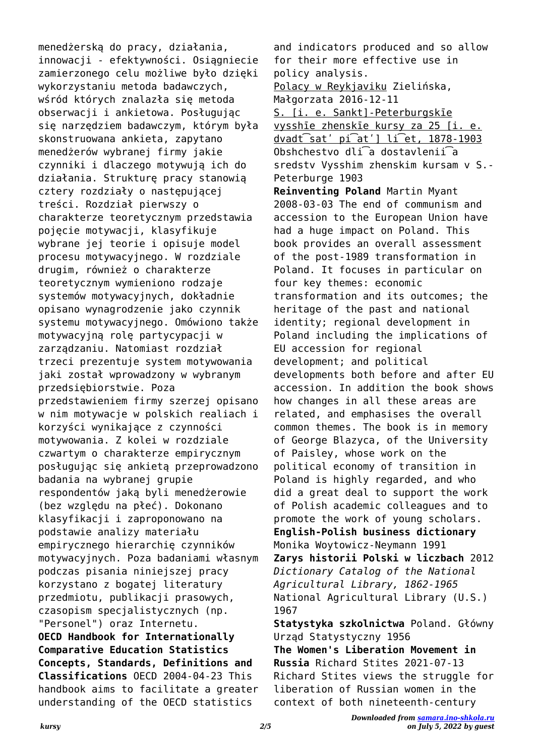menedżerską do pracy, działania, innowacji - efektywności. Osiągniecie zamierzonego celu możliwe było dzięki wykorzystaniu metoda badawczych, wśród których znalazła się metoda obserwacji i ankietowa. Posługując się narzędziem badawczym, którym była skonstruowana ankieta, zapytano menedżerów wybranej firmy jakie czynniki i dlaczego motywują ich do działania. Strukturę pracy stanowią cztery rozdziały o następującej treści. Rozdział pierwszy o charakterze teoretycznym przedstawia pojęcie motywacji, klasyfikuje wybrane jej teorie i opisuje model procesu motywacyjnego. W rozdziale drugim, również o charakterze teoretycznym wymieniono rodzaje systemów motywacyjnych, dokładnie opisano wynagrodzenie jako czynnik systemu motywacyjnego. Omówiono także motywacyjną rolę partycypacji w zarządzaniu. Natomiast rozdział trzeci prezentuje system motywowania jaki został wprowadzony w wybranym przedsiębiorstwie. Poza przedstawieniem firmy szerzej opisano w nim motywacje w polskich realiach i korzyści wynikające z czynności motywowania. Z kolei w rozdziale czwartym o charakterze empirycznym posługując się ankietą przeprowadzono badania na wybranej grupie respondentów jaką byli menedżerowie (bez względu na płeć). Dokonano klasyfikacji i zaproponowano na podstawie analizy materiału empirycznego hierarchię czynników motywacyjnych. Poza badaniami własnym podczas pisania niniejszej pracy korzystano z bogatej literatury przedmiotu, publikacji prasowych, czasopism specjalistycznych (np. "Personel") oraz Internetu. **OECD Handbook for Internationally Comparative Education Statistics Concepts, Standards, Definitions and Classifications** OECD 2004-04-23 This handbook aims to facilitate a greater understanding of the OECD statistics

and indicators produced and so allow for their more effective use in policy analysis. Polacy w Reykjaviku Zielińska, Małgorzata 2016-12-11 S. [i. e. Sankt]-Peterburgskīe vysshīe zhenskīe kursy za 25 [i. e. dvadt͡satʹ pi͡atʹ] li͡et, 1878-1903 Obshchestvo dli͡a dostavlenii͡a sredstv Vysshim zhenskim kursam v S.- Peterburge 1903 **Reinventing Poland** Martin Myant 2008-03-03 The end of communism and accession to the European Union have had a huge impact on Poland. This book provides an overall assessment of the post-1989 transformation in Poland. It focuses in particular on four key themes: economic transformation and its outcomes; the heritage of the past and national identity; regional development in Poland including the implications of EU accession for regional development; and political developments both before and after EU accession. In addition the book shows how changes in all these areas are related, and emphasises the overall common themes. The book is in memory of George Blazyca, of the University of Paisley, whose work on the political economy of transition in Poland is highly regarded, and who did a great deal to support the work of Polish academic colleagues and to promote the work of young scholars. **English-Polish business dictionary** Monika Woytowicz-Neymann 1991 **Zarys historii Polski w liczbach** 2012 *Dictionary Catalog of the National Agricultural Library, 1862-1965* National Agricultural Library (U.S.) 1967 **Statystyka szkolnictwa** Poland. Główny Urząd Statystyczny 1956 **The Women's Liberation Movement in Russia** Richard Stites 2021-07-13 Richard Stites views the struggle for liberation of Russian women in the context of both nineteenth-century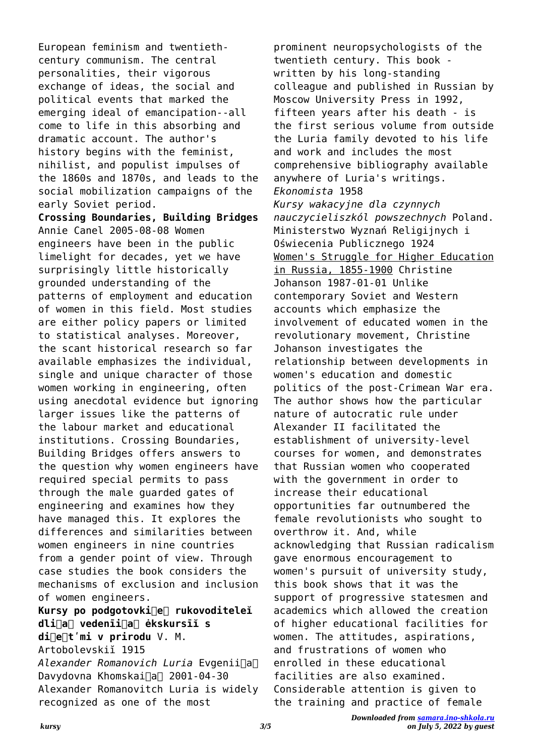European feminism and twentiethcentury communism. The central personalities, their vigorous exchange of ideas, the social and political events that marked the emerging ideal of emancipation--all come to life in this absorbing and dramatic account. The author's history begins with the feminist, nihilist, and populist impulses of the 1860s and 1870s, and leads to the social mobilization campaigns of the early Soviet period. **Crossing Boundaries, Building Bridges** Annie Canel 2005-08-08 Women engineers have been in the public limelight for decades, yet we have surprisingly little historically grounded understanding of the patterns of employment and education of women in this field. Most studies are either policy papers or limited to statistical analyses. Moreover, the scant historical research so far available emphasizes the individual, single and unique character of those women working in engineering, often using anecdotal evidence but ignoring larger issues like the patterns of the labour market and educational institutions. Crossing Boundaries, Building Bridges offers answers to the question why women engineers have required special permits to pass through the male guarded gates of engineering and examines how they have managed this. It explores the differences and similarities between women engineers in nine countries from a gender point of view. Through case studies the book considers the mechanisms of exclusion and inclusion of women engineers. **Kursy po podgotovki︠e︡ rukovoditeleĭ dli︠a︡ vedenīi︠a︡ ėkskursīĭ s**

di<sup>∩</sup>e<sup>∩t'mi</sup> v prirodu V. M. Artobolevskiĭ 1915 *Alexander Romanovich Luria* Evgenii︠a︡ Davydovna Khomskai∏a∏ 2001-04-30 Alexander Romanovitch Luria is widely recognized as one of the most

prominent neuropsychologists of the twentieth century. This book written by his long-standing colleague and published in Russian by Moscow University Press in 1992, fifteen years after his death - is the first serious volume from outside the Luria family devoted to his life and work and includes the most comprehensive bibliography available anywhere of Luria's writings. *Ekonomista* 1958 *Kursy wakacyjne dla czynnych nauczycieliszkól powszechnych* Poland. Ministerstwo Wyznań Religijnych i Oświecenia Publicznego 1924 Women's Struggle for Higher Education in Russia, 1855-1900 Christine Johanson 1987-01-01 Unlike contemporary Soviet and Western accounts which emphasize the involvement of educated women in the revolutionary movement, Christine Johanson investigates the relationship between developments in women's education and domestic politics of the post-Crimean War era. The author shows how the particular nature of autocratic rule under Alexander II facilitated the establishment of university-level courses for women, and demonstrates that Russian women who cooperated with the government in order to increase their educational opportunities far outnumbered the female revolutionists who sought to overthrow it. And, while acknowledging that Russian radicalism gave enormous encouragement to women's pursuit of university study, this book shows that it was the support of progressive statesmen and academics which allowed the creation of higher educational facilities for women. The attitudes, aspirations, and frustrations of women who enrolled in these educational facilities are also examined. Considerable attention is given to the training and practice of female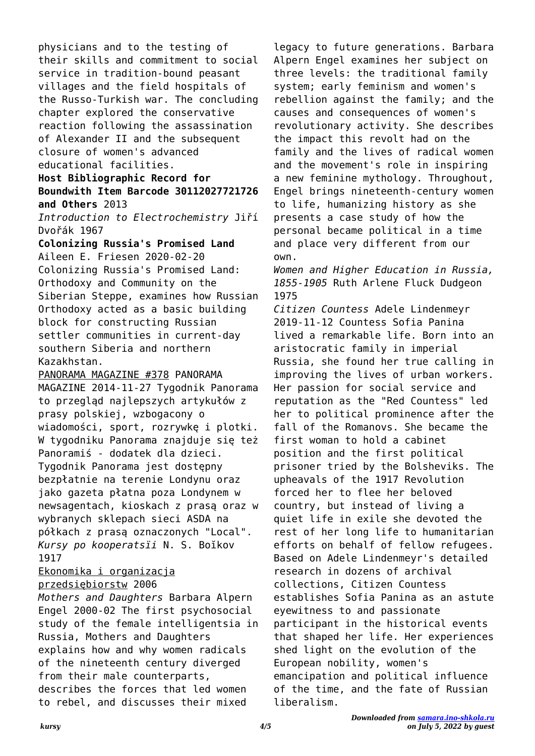physicians and to the testing of their skills and commitment to social service in tradition-bound peasant villages and the field hospitals of the Russo-Turkish war. The concluding chapter explored the conservative reaction following the assassination of Alexander II and the subsequent closure of women's advanced educational facilities.

## **Host Bibliographic Record for Boundwith Item Barcode 30112027721726 and Others** 2013

*Introduction to Electrochemistry* Jiří Dvořák 1967

**Colonizing Russia's Promised Land** Aileen E. Friesen 2020-02-20 Colonizing Russia's Promised Land: Orthodoxy and Community on the Siberian Steppe, examines how Russian Orthodoxy acted as a basic building block for constructing Russian settler communities in current-day southern Siberia and northern Kazakhstan.

#### PANORAMA MAGAZINE #378 PANORAMA

MAGAZINE 2014-11-27 Tygodnik Panorama to przegląd najlepszych artykułów z prasy polskiej, wzbogacony o wiadomości, sport, rozrywkę i plotki. W tygodniku Panorama znajduje się też Panoramiś - dodatek dla dzieci. Tygodnik Panorama jest dostępny bezpłatnie na terenie Londynu oraz jako gazeta płatna poza Londynem w newsagentach, kioskach z prasą oraz w wybranych sklepach sieci ASDA na półkach z prasą oznaczonych "Local". *Kursy po kooperatsïi* N. S. Boĭkov 1917

#### Ekonomika i organizacja przedsiębiorstw 2006

*Mothers and Daughters* Barbara Alpern Engel 2000-02 The first psychosocial study of the female intelligentsia in Russia, Mothers and Daughters explains how and why women radicals of the nineteenth century diverged from their male counterparts, describes the forces that led women to rebel, and discusses their mixed

legacy to future generations. Barbara Alpern Engel examines her subject on three levels: the traditional family system; early feminism and women's rebellion against the family; and the causes and consequences of women's revolutionary activity. She describes the impact this revolt had on the family and the lives of radical women and the movement's role in inspiring a new feminine mythology. Throughout, Engel brings nineteenth-century women to life, humanizing history as she presents a case study of how the personal became political in a time and place very different from our own.

*Women and Higher Education in Russia, 1855-1905* Ruth Arlene Fluck Dudgeon 1975

*Citizen Countess* Adele Lindenmeyr 2019-11-12 Countess Sofia Panina lived a remarkable life. Born into an aristocratic family in imperial Russia, she found her true calling in improving the lives of urban workers. Her passion for social service and reputation as the "Red Countess" led her to political prominence after the fall of the Romanovs. She became the first woman to hold a cabinet position and the first political prisoner tried by the Bolsheviks. The upheavals of the 1917 Revolution forced her to flee her beloved country, but instead of living a quiet life in exile she devoted the rest of her long life to humanitarian efforts on behalf of fellow refugees. Based on Adele Lindenmeyr's detailed research in dozens of archival collections, Citizen Countess establishes Sofia Panina as an astute eyewitness to and passionate participant in the historical events that shaped her life. Her experiences shed light on the evolution of the European nobility, women's emancipation and political influence of the time, and the fate of Russian liberalism.